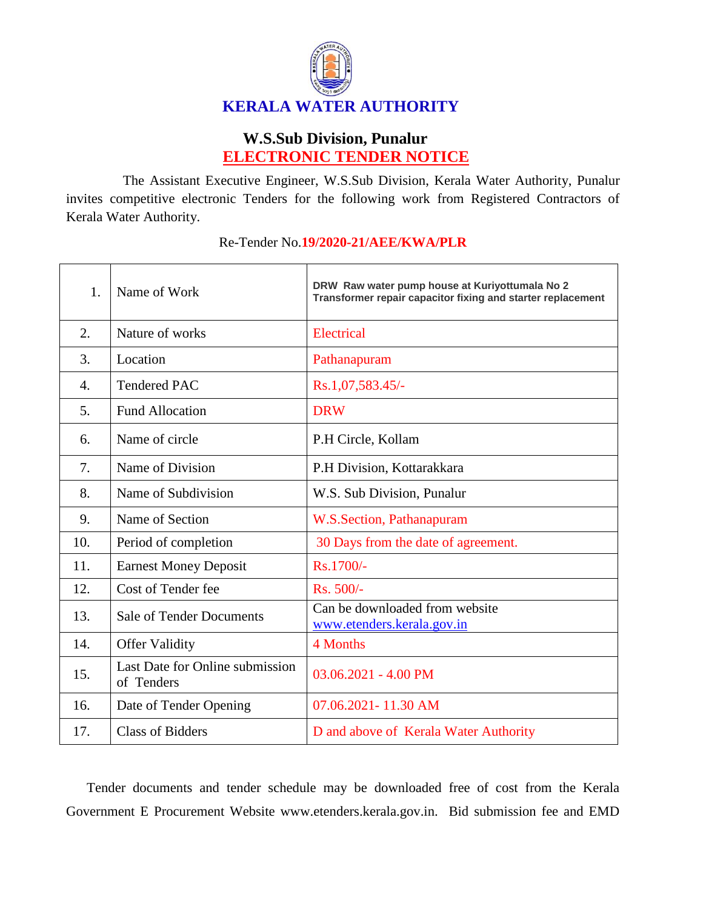

## **W.S.Sub Division, Punalur ELECTRONIC TENDER NOTICE**

The Assistant Executive Engineer, W.S.Sub Division, Kerala Water Authority, Punalur invites competitive electronic Tenders for the following work from Registered Contractors of Kerala Water Authority.

| 1.               | Name of Work                                  | DRW Raw water pump house at Kuriyottumala No 2<br>Transformer repair capacitor fixing and starter replacement |
|------------------|-----------------------------------------------|---------------------------------------------------------------------------------------------------------------|
| 2.               | Nature of works                               | Electrical                                                                                                    |
| 3.               | Location                                      | Pathanapuram                                                                                                  |
| $\overline{4}$ . | <b>Tendered PAC</b>                           | Rs.1,07,583.45/-                                                                                              |
| 5.               | <b>Fund Allocation</b>                        | <b>DRW</b>                                                                                                    |
| 6.               | Name of circle                                | P.H Circle, Kollam                                                                                            |
| 7.               | Name of Division                              | P.H Division, Kottarakkara                                                                                    |
| 8.               | Name of Subdivision                           | W.S. Sub Division, Punalur                                                                                    |
| 9.               | Name of Section                               | W.S.Section, Pathanapuram                                                                                     |
| 10.              | Period of completion                          | 30 Days from the date of agreement.                                                                           |
| 11.              | <b>Earnest Money Deposit</b>                  | Rs.1700/-                                                                                                     |
| 12.              | Cost of Tender fee                            | Rs. 500/-                                                                                                     |
| 13.              | <b>Sale of Tender Documents</b>               | Can be downloaded from website<br>www.etenders.kerala.gov.in                                                  |
| 14.              | <b>Offer Validity</b>                         | 4 Months                                                                                                      |
| 15.              | Last Date for Online submission<br>of Tenders | $03.06.2021 - 4.00$ PM                                                                                        |
| 16.              | Date of Tender Opening                        | 07.06.2021-11.30 AM                                                                                           |
| 17.              | <b>Class of Bidders</b>                       | D and above of Kerala Water Authority                                                                         |

## Re-Tender No.**19/2020-21/AEE/KWA/PLR**

Tender documents and tender schedule may be downloaded free of cost from the Kerala Government E Procurement Website www.etenders.kerala.gov.in. Bid submission fee and EMD